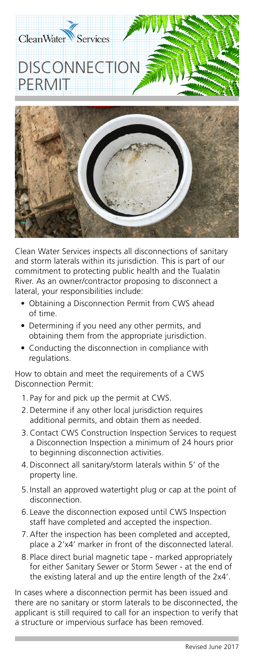

Clean Water Services inspects all disconnections of sanitary and storm laterals within its jurisdiction. This is part of our commitment to protecting public health and the Tualatin River. As an owner/contractor proposing to disconnect a lateral, your responsibilities include:

- Obtaining a Disconnection Permit from CWS ahead of time.
- Determining if you need any other permits, and obtaining them from the appropriate jurisdiction.
- Conducting the disconnection in compliance with regulations.

How to obtain and meet the requirements of a CWS Disconnection Permit:

- 1. Pay for and pick up the permit at CWS.
- 2.Determine if any other local jurisdiction requires additional permits, and obtain them as needed.
- 3.Contact CWS Construction Inspection Services to request a Disconnection Inspection a minimum of 24 hours prior to beginning disconnection activities.
- 4.Disconnect all sanitary/storm laterals within 5' of the property line.
- 5. Install an approved watertight plug or cap at the point of disconnection.
- 6. Leave the disconnection exposed until CWS Inspection staff have completed and accepted the inspection.
- 7.After the inspection has been completed and accepted, place a 2'x4' marker in front of the disconnected lateral.
- 8. Place direct burial magnetic tape marked appropriately for either Sanitary Sewer or Storm Sewer - at the end of the existing lateral and up the entire length of the 2x4'.

In cases where a disconnection permit has been issued and there are no sanitary or storm laterals to be disconnected, the applicant is still required to call for an inspection to verify that a structure or impervious surface has been removed.